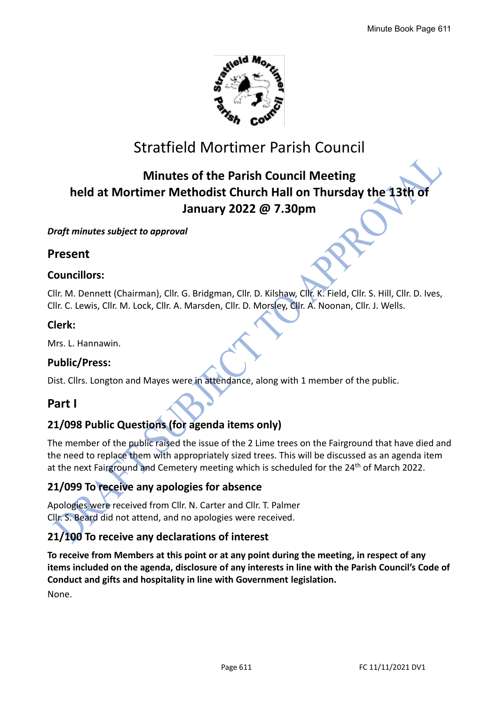

# Stratfield Mortimer Parish Council

# **Minutes of the Parish Council Meeting held at Mortimer Methodist Church Hall on Thursday the 13th of January 2022 @ 7.30pm**

### *Draft minutes subject to approval*

# **Present**

# **Councillors:**

Cllr. M. Dennett (Chairman), Cllr. G. Bridgman, Cllr. D. Kilshaw, Cllr. K. Field, Cllr. S. Hill, Cllr. D. Ives, Cllr. C. Lewis, Cllr. M. Lock, Cllr. A. Marsden, Cllr. D. Morsley, Cllr. A. Noonan, Cllr. J. Wells.

# **Clerk:**

Mrs. L. Hannawin.

# **Public/Press:**

Dist. Cllrs. Longton and Mayes were in attendance, along with 1 member of the public.

# **Part I**

# **21/098 Public Questions (for agenda items only)**

The member of the public raised the issue of the 2 Lime trees on the Fairground that have died and the need to replace them with appropriately sized trees. This will be discussed as an agenda item at the next Fairground and Cemetery meeting which is scheduled for the 24<sup>th</sup> of March 2022.

# **21/099 To receive any apologies for absence**

Apologies were received from Cllr. N. Carter and Cllr. T. Palmer Cllr. S. Beard did not attend, and no apologies were received.

# **21/100 To receive any declarations of interest**

**To receive from Members at this point or at any point during the meeting, in respect of any items included on the agenda, disclosure of any interests in line with the Parish Council's Code of Conduct and gifts and hospitality in line with Government legislation.**

None.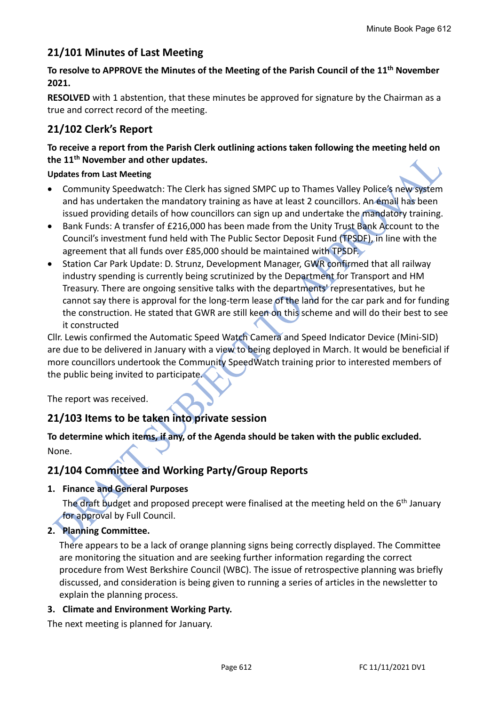# **21/101 Minutes of Last Meeting**

# **To resolve to APPROVE the Minutes of the Meeting of the Parish Council of the 11 th November 2021.**

**RESOLVED** with 1 abstention, that these minutes be approved for signature by the Chairman as a true and correct record of the meeting.

# **21/102 Clerk's Report**

**To receive a report from the Parish Clerk outlining actions taken following the meeting held on the 11th November and other updates.**

#### **Updates from Last Meeting**

- Community Speedwatch: The Clerk has signed SMPC up to Thames Valley Police's new system and has undertaken the mandatory training as have at least 2 councillors. An email has been issued providing details of how councillors can sign up and undertake the mandatory training.
- Bank Funds: A transfer of £216,000 has been made from the Unity Trust Bank Account to the Council's investment fund held with The Public Sector Deposit Fund (TPSDF), in line with the agreement that all funds over £85,000 should be maintained with TPSDF.
- Station Car Park Update: D. Strunz, Development Manager, GWR confirmed that all railway industry spending is currently being scrutinized by the Department for Transport and HM Treasury. There are ongoing sensitive talks with the departments' representatives, but he cannot say there is approval for the long-term lease of the land for the car park and for funding the construction. He stated that GWR are still keen on this scheme and will do their best to see it constructed

Cllr. Lewis confirmed the Automatic Speed Watch Camera and Speed Indicator Device (Mini-SID) are due to be delivered in January with a view to being deployed in March. It would be beneficial if more councillors undertook the Community SpeedWatch training prior to interested members of the public being invited to participate.

The report was received.

# **21/103 Items to be taken into private session**

# **To determine which items, if any, of the Agenda should be taken with the public excluded.** None.

# **21/104 Committee and Working Party/Group Reports**

### **1. Finance and General Purposes**

The draft budget and proposed precept were finalised at the meeting held on the 6<sup>th</sup> January for approval by Full Council.

### **2. Planning Committee.**

There appears to be a lack of orange planning signs being correctly displayed. The Committee are monitoring the situation and are seeking further information regarding the correct procedure from West Berkshire Council (WBC). The issue of retrospective planning was briefly discussed, and consideration is being given to running a series of articles in the newsletter to explain the planning process.

#### **3. Climate and Environment Working Party.**

The next meeting is planned for January.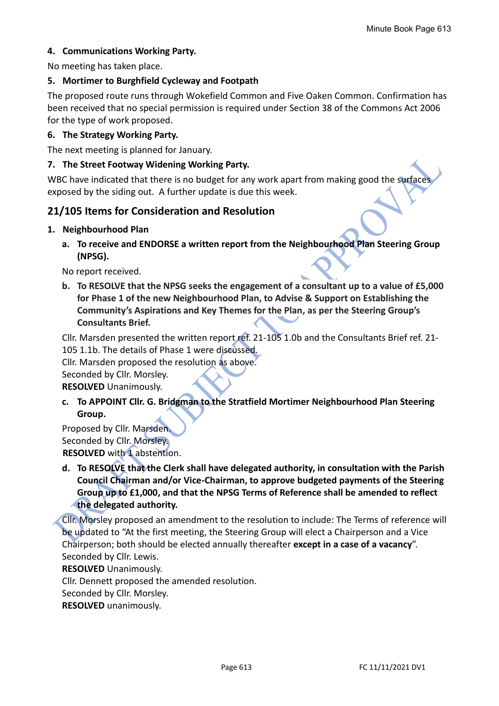### **4. Communications Working Party.**

No meeting has taken place.

#### **5. Mortimer to Burghfield Cycleway and Footpath**

The proposed route runs through Wokefield Common and Five Oaken Common. Confirmation has been received that no special permission is required under Section 38 of the Commons Act 2006 for the type of work proposed.

#### **6. The Strategy Working Party.**

The next meeting is planned for January.

#### **7. The Street Footway Widening Working Party.**

WBC have indicated that there is no budget for any work apart from making good the surfaces exposed by the siding out. A further update is due this week.

# **21/105 Items for Consideration and Resolution**

#### **1. Neighbourhood Plan**

**a. To receive and ENDORSE a written report from the Neighbourhood Plan Steering Group (NPSG).**

No report received.

**b. To RESOLVE that the NPSG seeks the engagement of a consultant up to a value of £5,000 for Phase 1 of the new Neighbourhood Plan, to Advise & Support on Establishing the Community's Aspirations and Key Themes for the Plan, as per the Steering Group's Consultants Brief.**

Cllr. Marsden presented the written report ref. 21-105 1.0b and the Consultants Brief ref. 21- 105 1.1b. The details of Phase 1 were discussed.

Cllr. Marsden proposed the resolution as above.

Seconded by Cllr. Morsley.

**RESOLVED** Unanimously.

**c. To APPOINT Cllr. G. Bridgman to the Stratfield Mortimer Neighbourhood Plan Steering Group.**

Proposed by Cllr. Marsden. Seconded by Cllr. Morsley. **RESOLVED** with 1 abstention.

**d. To RESOLVE that the Clerk shall have delegated authority, in consultation with the Parish Council Chairman and/or Vice-Chairman, to approve budgeted payments of the Steering Group up to £1,000, and that the NPSG Terms of Reference shall be amended to reflect the delegated authority.**

Cllr. Morsley proposed an amendment to the resolution to include: The Terms of reference will be updated to "At the first meeting, the Steering Group will elect a Chairperson and a Vice Chairperson; both should be elected annually thereafter **except in a case of a vacancy**". Seconded by Cllr. Lewis.

**RESOLVED** Unanimously.

Cllr. Dennett proposed the amended resolution.

Seconded by Cllr. Morsley.

**RESOLVED** unanimously.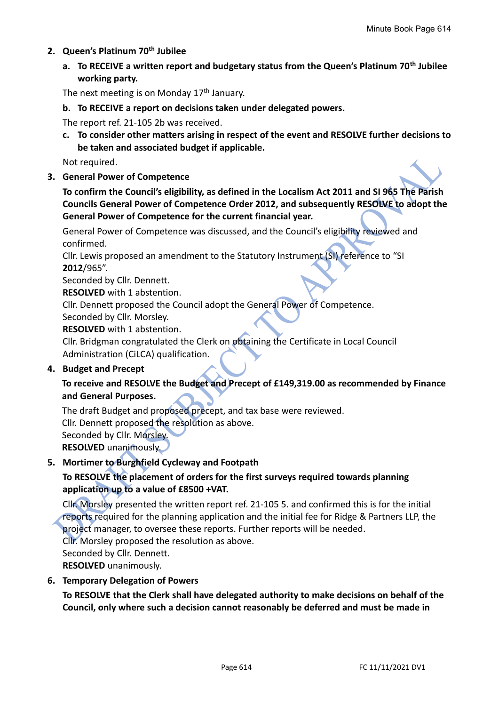#### **2. Queen's Platinum 70th Jubilee**

**a. To RECEIVE a written report and budgetary status from the Queen's Platinum 70th Jubilee working party.**

The next meeting is on Monday 17<sup>th</sup> January.

**b. To RECEIVE a report on decisions taken under delegated powers.**

The report ref. 21-105 2b was received.

**c. To consider other matters arising in respect of the event and RESOLVE further decisions to be taken and associated budget if applicable.**

Not required.

**3. General Power of Competence**

**To confirm the Council's eligibility, as defined in the Localism Act 2011 and SI 965 The Parish Councils General Power of Competence Order 2012, and subsequently RESOLVE to adopt the General Power of Competence for the current financial year.**

General Power of Competence was discussed, and the Council's eligibility reviewed and confirmed.

Cllr. Lewis proposed an amendment to the Statutory Instrument (SI) reference to "SI **2012**/965".

Seconded by Cllr. Dennett.

**RESOLVED** with 1 abstention.

Cllr. Dennett proposed the Council adopt the General Power of Competence.

Seconded by Cllr. Morsley.

**RESOLVED** with 1 abstention.

Cllr. Bridgman congratulated the Clerk on obtaining the Certificate in Local Council Administration (CiLCA) qualification.

#### **4. Budget and Precept**

### **To receive and RESOLVE the Budget and Precept of £149,319.00 as recommended by Finance and General Purposes.**

The draft Budget and proposed precept, and tax base were reviewed. Cllr. Dennett proposed the resolution as above. Seconded by Cllr. Morsley. **RESOLVED** unanimously.

### **5. Mortimer to Burghfield Cycleway and Footpath**

# **To RESOLVE the placement of orders for the first surveys required towards planning application up to a value of £8500 +VAT.**

Cllr. Morsley presented the written report ref. 21-105 5. and confirmed this is for the initial reports required for the planning application and the initial fee for Ridge & Partners LLP, the project manager, to oversee these reports. Further reports will be needed.

Cllr. Morsley proposed the resolution as above.

Seconded by Cllr. Dennett.

**RESOLVED** unanimously.

#### **6. Temporary Delegation of Powers**

**To RESOLVE that the Clerk shall have delegated authority to make decisions on behalf of the Council, only where such a decision cannot reasonably be deferred and must be made in**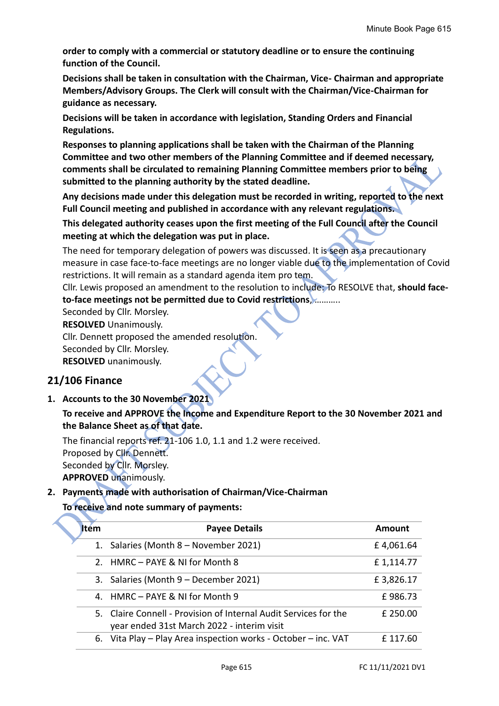**order to comply with a commercial or statutory deadline or to ensure the continuing function of the Council.**

**Decisions shall be taken in consultation with the Chairman, Vice- Chairman and appropriate Members/Advisory Groups. The Clerk will consult with the Chairman/Vice-Chairman for guidance as necessary.** 

**Decisions will be taken in accordance with legislation, Standing Orders and Financial Regulations.**

**Responses to planning applications shall be taken with the Chairman of the Planning Committee and two other members of the Planning Committee and if deemed necessary, comments shall be circulated to remaining Planning Committee members prior to being submitted to the planning authority by the stated deadline.**

**Any decisions made under this delegation must be recorded in writing, reported to the next Full Council meeting and published in accordance with any relevant regulations.** 

### **This delegated authority ceases upon the first meeting of the Full Council after the Council meeting at which the delegation was put in place.**

The need for temporary delegation of powers was discussed. It is seen as a precautionary measure in case face-to-face meetings are no longer viable due to the implementation of Covid restrictions. It will remain as a standard agenda item pro tem.

Cllr. Lewis proposed an amendment to the resolution to include: To RESOLVE that, **should faceto-face meetings not be permitted due to Covid restrictions**, ………..

Seconded by Cllr. Morsley.

**RESOLVED** Unanimously.

Cllr. Dennett proposed the amended resolution.

Seconded by Cllr. Morsley.

**RESOLVED** unanimously.

# **21/106 Finance**

**1. Accounts to the 30 November 2021**

**To receive and APPROVE the Income and Expenditure Report to the 30 November 2021 and the Balance Sheet as of that date.** 

The financial reports ref. 21-106 1.0, 1.1 and 1.2 were received.

Proposed by Cllr. Dennett.

Seconded by Cllr. Morsley.

**APPROVED** unanimously.

# **2. Payments made with authorisation of Chairman/Vice-Chairman**

#### **To receive and note summary of payments:**

| <b>Itém</b> | <b>Payee Details</b>                                                                                           | Amount    |
|-------------|----------------------------------------------------------------------------------------------------------------|-----------|
|             | 1. Salaries (Month 8 – November 2021)                                                                          | £4,061.64 |
|             | 2. HMRC – PAYE & NI for Month 8                                                                                | £1,114.77 |
|             | 3. Salaries (Month 9 - December 2021)                                                                          | £3,826.17 |
|             | 4. HMRC - PAYE & NI for Month 9                                                                                | £986.73   |
|             | 5. Claire Connell - Provision of Internal Audit Services for the<br>year ended 31st March 2022 - interim visit | £ 250.00  |
|             | 6. Vita Play - Play Area inspection works - October - inc. VAT                                                 | £117.60   |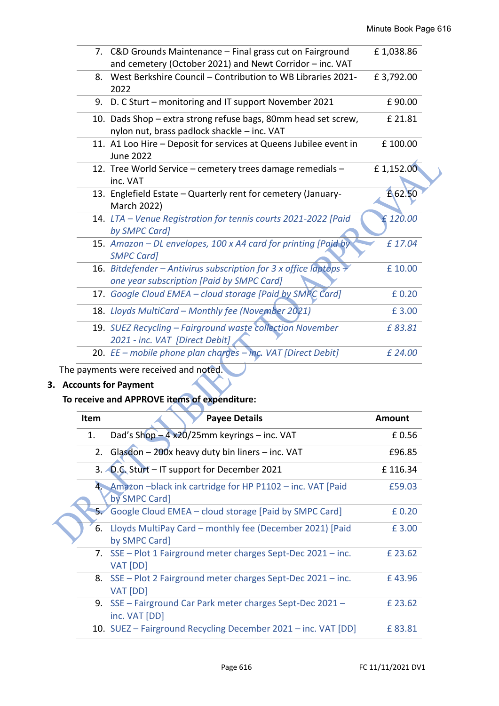|    | 7. C&D Grounds Maintenance - Final grass cut on Fairground                                                                        | £1,038.86 |
|----|-----------------------------------------------------------------------------------------------------------------------------------|-----------|
|    | and cemetery (October 2021) and Newt Corridor - inc. VAT                                                                          |           |
|    | 8. West Berkshire Council – Contribution to WB Libraries 2021-<br>2022                                                            | £3,792.00 |
| 9. | D. C Sturt - monitoring and IT support November 2021                                                                              | £90.00    |
|    | 10. Dads Shop - extra strong refuse bags, 80mm head set screw,<br>nylon nut, brass padlock shackle - inc. VAT                     | £ 21.81   |
|    | 11. A1 Loo Hire - Deposit for services at Queens Jubilee event in<br><b>June 2022</b>                                             | £100.00   |
|    | 12. Tree World Service - cemetery trees damage remedials -<br>inc. VAT                                                            | £1,152.00 |
|    | 13. Englefield Estate - Quarterly rent for cemetery (January-<br>March 2022)                                                      | £62.50    |
|    | 14. LTA - Venue Registration for tennis courts 2021-2022 [Paid<br>by SMPC Card]                                                   | £120.00   |
|    | 15. Amazon - DL envelopes, 100 x A4 card for printing [Paid by<br><b>SMPC Card]</b>                                               | £17.04    |
|    | <b>16.</b> Bitdefender – Antivirus subscription for 3 x office laptops $\rightarrow$<br>one year subscription [Paid by SMPC Card] | £ 10.00   |
|    | 17. Google Cloud EMEA - cloud storage [Paid by SMPC Card]                                                                         | £0.20     |
|    | 18. Lloyds MultiCard - Monthly fee (November 2021)                                                                                | £3.00     |
|    | 19. SUEZ Recycling - Fairground waste collection November<br>2021 - inc. VAT [Direct Debit]                                       | £83.81    |
|    | 20. EE - mobile phone plan charges - inc. VAT [Direct Debit]                                                                      | £ 24.00   |
|    |                                                                                                                                   |           |

The payments were received and noted.

# **3. Accounts for Payment**

# **To receive and APPROVE items of expenditure:**

| <b>Item</b> | <b>Payee Details</b>                                                           | Amount  |
|-------------|--------------------------------------------------------------------------------|---------|
| 1.          | Dad's Shop $-4x20/25$ mm keyrings - inc. VAT                                   | £0.56   |
|             | 2. Glasdon - 200x heavy duty bin liners - inc. VAT                             | £96.85  |
|             | 3. D.C. Sturt - IT support for December 2021                                   | £116.34 |
|             | 4. Amazon - black ink cartridge for HP P1102 - inc. VAT [Paid<br>by SMPC Card] | £59.03  |
| 57          | Google Cloud EMEA – cloud storage [Paid by SMPC Card]                          | £0.20   |
|             | 6. Lloyds MultiPay Card – monthly fee (December 2021) [Paid<br>by SMPC Card]   | £3.00   |
|             | 7. SSE - Plot 1 Fairground meter charges Sept-Dec 2021 - inc.<br>VAT [DD]      | £ 23.62 |
|             | 8. SSE - Plot 2 Fairground meter charges Sept-Dec 2021 - inc.<br>VAT [DD]      | £43.96  |
|             | 9. SSE - Fairground Car Park meter charges Sept-Dec 2021 -<br>inc. VAT [DD]    | £ 23.62 |
|             | 10. SUEZ – Fairground Recycling December 2021 – inc. VAT [DD]                  | £83.81  |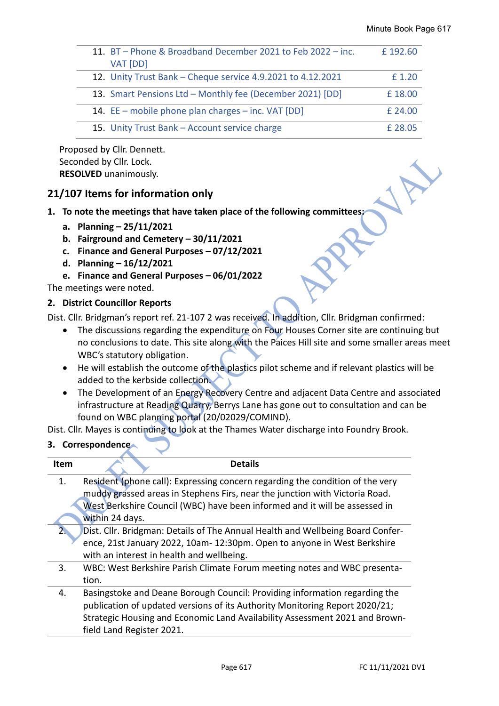| 11. BT - Phone & Broadband December 2021 to Feb 2022 - inc.<br>VAT [DD] | £192.60 |
|-------------------------------------------------------------------------|---------|
| 12. Unity Trust Bank - Cheque service 4.9.2021 to 4.12.2021             | £1.20   |
| 13. Smart Pensions Ltd - Monthly fee (December 2021) [DD]               | £18.00  |
| 14. EE – mobile phone plan charges – inc. VAT [DD]                      | £ 24.00 |
| 15. Unity Trust Bank - Account service charge                           | £28.05  |

Proposed by Cllr. Dennett. Seconded by Cllr. Lock. **RESOLVED** unanimously.

# **21/107 Items for information only**

- **1. To note the meetings that have taken place of the following committees:**
	- **a. Planning – 25/11/2021**
	- **b. Fairground and Cemetery – 30/11/2021**
	- **c. Finance and General Purposes – 07/12/2021**
	- **d. Planning – 16/12/2021**
	- **e. Finance and General Purposes – 06/01/2022**
- The meetings were noted.

#### **2. District Councillor Reports**

Dist. Cllr. Bridgman's report ref. 21-107 2 was received. In addition, Cllr. Bridgman confirmed:

- The discussions regarding the expenditure on Four Houses Corner site are continuing but no conclusions to date. This site along with the Paices Hill site and some smaller areas meet WBC's statutory obligation.
- He will establish the outcome of the plastics pilot scheme and if relevant plastics will be added to the kerbside collection.
- The Development of an Energy Recovery Centre and adjacent Data Centre and associated infrastructure at Reading Quarry, Berrys Lane has gone out to consultation and can be found on WBC planning portal (20/02029/COMIND).

Dist. Cllr. Mayes is continuing to look at the Thames Water discharge into Foundry Brook.

#### **3. Correspondence**

| <b>Item</b> | <b>Details</b>                                                                 |
|-------------|--------------------------------------------------------------------------------|
| 1.          | Resident (phone call): Expressing concern regarding the condition of the very  |
|             | muddy grassed areas in Stephens Firs, near the junction with Victoria Road.    |
|             | West Berkshire Council (WBC) have been informed and it will be assessed in     |
|             | within 24 days.                                                                |
|             | Dist. Cllr. Bridgman: Details of The Annual Health and Wellbeing Board Confer- |
|             | ence, 21st January 2022, 10am- 12:30pm. Open to anyone in West Berkshire       |
|             | with an interest in health and wellbeing.                                      |
| 3.          | WBC: West Berkshire Parish Climate Forum meeting notes and WBC presenta-       |
|             | tion.                                                                          |
| 4.          | Basingstoke and Deane Borough Council: Providing information regarding the     |
|             | publication of updated versions of its Authority Monitoring Report 2020/21;    |
|             | Strategic Housing and Economic Land Availability Assessment 2021 and Brown-    |
|             | field Land Register 2021.                                                      |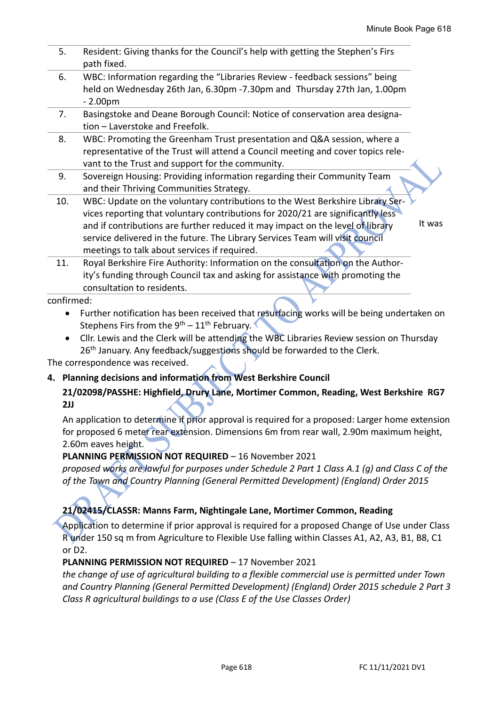| 5.  | Resident: Giving thanks for the Council's help with getting the Stephen's Firs<br>path fixed. |
|-----|-----------------------------------------------------------------------------------------------|
| 6.  | WBC: Information regarding the "Libraries Review - feedback sessions" being                   |
|     | held on Wednesday 26th Jan, 6.30pm -7.30pm and Thursday 27th Jan, 1.00pm                      |
|     | $-2.00pm$                                                                                     |
| 7.  | Basingstoke and Deane Borough Council: Notice of conservation area designa-                   |
|     | tion - Laverstoke and Freefolk.                                                               |
| 8.  | WBC: Promoting the Greenham Trust presentation and Q&A session, where a                       |
|     | representative of the Trust will attend a Council meeting and cover topics rele-              |
|     | vant to the Trust and support for the community.                                              |
| 9.  | Sovereign Housing: Providing information regarding their Community Team                       |
|     | and their Thriving Communities Strategy.                                                      |
| 10. | WBC: Update on the voluntary contributions to the West Berkshire Library Ser-                 |
|     | vices reporting that voluntary contributions for 2020/21 are significantly less               |
|     | It was<br>and if contributions are further reduced it may impact on the level of library      |
|     | service delivered in the future. The Library Services Team will visit council                 |
|     | meetings to talk about services if required.                                                  |
| 11. | Royal Berkshire Fire Authority: Information on the consultation on the Author-                |

ity's funding through Council tax and asking for assistance with promoting the consultation to residents.

confirmed:

- Further notification has been received that resurfacing works will be being undertaken on Stephens Firs from the  $9<sup>th</sup> - 11<sup>th</sup>$  February.
- Cllr. Lewis and the Clerk will be attending the WBC Libraries Review session on Thursday 26<sup>th</sup> January. Any feedback/suggestions should be forwarded to the Clerk.

The correspondence was received.

**4. Planning decisions and information from West Berkshire Council**

# **21/02098/PASSHE: Highfield, Drury Lane, Mortimer Common, Reading, West Berkshire RG7 2JJ**

An application to determine if prior approval is required for a proposed: Larger home extension for proposed 6 meter rear extension. Dimensions 6m from rear wall, 2.90m maximum height, 2.60m eaves height.

### **PLANNING PERMISSION NOT REQUIRED** – 16 November 2021

*proposed works are lawful for purposes under Schedule 2 Part 1 Class A.1 (g) and Class C of the of the Town and Country Planning (General Permitted Development) (England) Order 2015*

# **21/02415/CLASSR: Manns Farm, Nightingale Lane, Mortimer Common, Reading**

Application to determine if prior approval is required for a proposed Change of Use under Class R under 150 sq m from Agriculture to Flexible Use falling within Classes A1, A2, A3, B1, B8, C1 or D2.

### **PLANNING PERMISSION NOT REQUIRED** – 17 November 2021

*the change of use of agricultural building to a flexible commercial use is permitted under Town and Country Planning (General Permitted Development) (England) Order 2015 schedule 2 Part 3 Class R agricultural buildings to a use (Class E of the Use Classes Order)*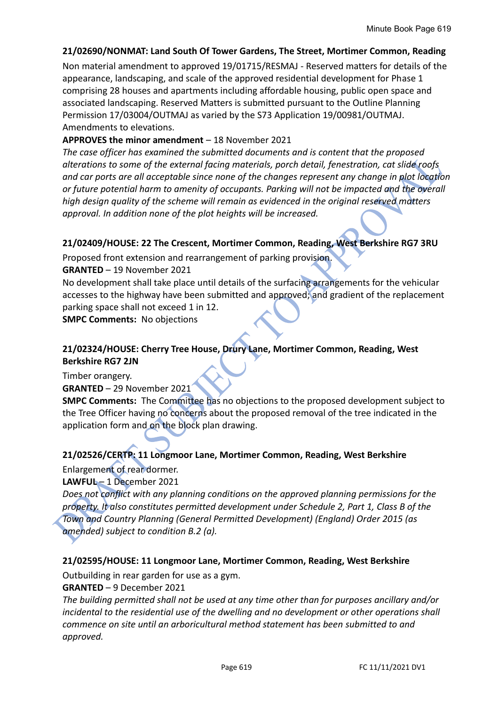#### **21/02690/NONMAT: Land South Of Tower Gardens, The Street, Mortimer Common, Reading**

Non material amendment to approved 19/01715/RESMAJ - Reserved matters for details of the appearance, landscaping, and scale of the approved residential development for Phase 1 comprising 28 houses and apartments including affordable housing, public open space and associated landscaping. Reserved Matters is submitted pursuant to the Outline Planning Permission 17/03004/OUTMAJ as varied by the S73 Application 19/00981/OUTMAJ. Amendments to elevations.

#### **APPROVES the minor amendment** – 18 November 2021

*The case officer has examined the submitted documents and is content that the proposed alterations to some of the external facing materials, porch detail, fenestration, cat slide roofs and car ports are all acceptable since none of the changes represent any change in plot location or future potential harm to amenity of occupants. Parking will not be impacted and the overall high design quality of the scheme will remain as evidenced in the original reserved matters approval. In addition none of the plot heights will be increased.*

### **21/02409/HOUSE: 22 The Crescent, Mortimer Common, Reading, West Berkshire RG7 3RU**

Proposed front extension and rearrangement of parking provision.

**GRANTED** – 19 November 2021

No development shall take place until details of the surfacing arrangements for the vehicular accesses to the highway have been submitted and approved; and gradient of the replacement parking space shall not exceed 1 in 12.

**SMPC Comments:** No objections

# **21/02324/HOUSE: Cherry Tree House, Drury Lane, Mortimer Common, Reading, West Berkshire RG7 2JN**

Timber orangery.

**GRANTED** – 29 November 2021

**SMPC Comments:** The Committee has no objections to the proposed development subject to the Tree Officer having no concerns about the proposed removal of the tree indicated in the application form and on the block plan drawing.

# **21/02526/CERTP: 11 Longmoor Lane, Mortimer Common, Reading, West Berkshire**

Enlargement of rear dormer.

# **LAWFUL** – 1 December 2021

*Does not conflict with any planning conditions on the approved planning permissions for the property. It also constitutes permitted development under Schedule 2, Part 1, Class B of the Town and Country Planning (General Permitted Development) (England) Order 2015 (as amended) subject to condition B.2 (a).*

#### **21/02595/HOUSE: 11 Longmoor Lane, Mortimer Common, Reading, West Berkshire**

Outbuilding in rear garden for use as a gym.

#### **GRANTED** – 9 December 2021

*The building permitted shall not be used at any time other than for purposes ancillary and/or incidental to the residential use of the dwelling and no development or other operations shall commence on site until an arboricultural method statement has been submitted to and approved.*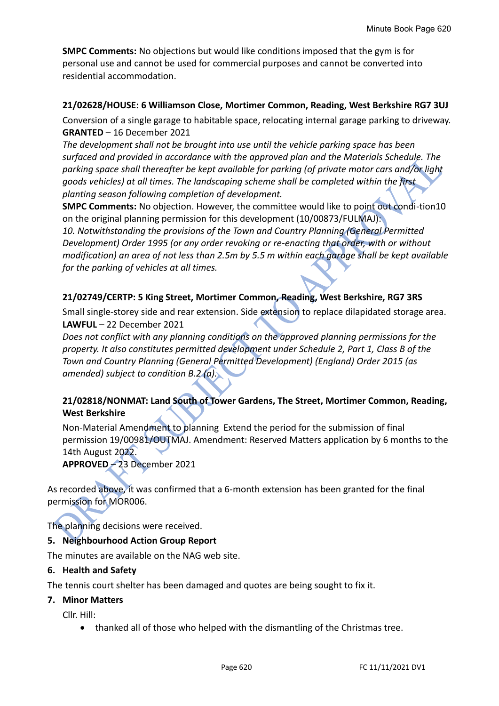**SMPC Comments:** No objections but would like conditions imposed that the gym is for personal use and cannot be used for commercial purposes and cannot be converted into residential accommodation.

#### **21/02628/HOUSE: 6 Williamson Close, Mortimer Common, Reading, West Berkshire RG7 3UJ**

Conversion of a single garage to habitable space, relocating internal garage parking to driveway. **GRANTED** – 16 December 2021

*The development shall not be brought into use until the vehicle parking space has been surfaced and provided in accordance with the approved plan and the Materials Schedule. The parking space shall thereafter be kept available for parking (of private motor cars and/or light goods vehicles) at all times. The landscaping scheme shall be completed within the first planting season following completion of development.*

**SMPC Comments:** No objection. However, the committee would like to point out condi-tion10 on the original planning permission for this development (10/00873/FULMAJ):

*10. Notwithstanding the provisions of the Town and Country Planning (General Permitted Development) Order 1995 (or any order revoking or re-enacting that order, with or without modification) an area of not less than 2.5m by 5.5 m within each garage shall be kept available for the parking of vehicles at all times.*

### **21/02749/CERTP: 5 King Street, Mortimer Common, Reading, West Berkshire, RG7 3RS**

Small single-storey side and rear extension. Side extension to replace dilapidated storage area. **LAWFUL** – 22 December 2021

*Does not conflict with any planning conditions on the approved planning permissions for the property. It also constitutes permitted development under Schedule 2, Part 1, Class B of the Town and Country Planning (General Permitted Development) (England) Order 2015 (as amended) subject to condition B.2 (a).*

### **21/02818/NONMAT: Land South of Tower Gardens, The Street, Mortimer Common, Reading, West Berkshire**

Non-Material Amendment to planning Extend the period for the submission of final permission 19/00981/OUTMAJ. Amendment: Reserved Matters application by 6 months to the 14th August 2022.

**APPROVED** – 23 December 2021

As recorded above, it was confirmed that a 6-month extension has been granted for the final permission for MOR006.

The planning decisions were received.

### **5. Neighbourhood Action Group Report**

The minutes are available on the NAG web site.

#### **6. Health and Safety**

The tennis court shelter has been damaged and quotes are being sought to fix it.

#### **7. Minor Matters**

Cllr. Hill:

• thanked all of those who helped with the dismantling of the Christmas tree.